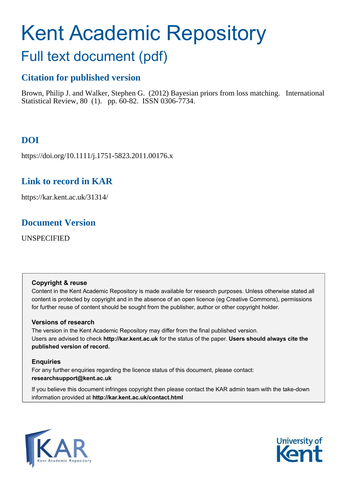# Kent Academic Repository

## Full text document (pdf)

## **Citation for published version**

Brown, Philip J. and Walker, Stephen G. (2012) Bayesian priors from loss matching. International Statistical Review, 80 (1). pp. 60-82. ISSN 0306-7734.

## **DOI**

https://doi.org/10.1111/j.1751-5823.2011.00176.x

## **Link to record in KAR**

https://kar.kent.ac.uk/31314/

## **Document Version**

UNSPECIFIED

#### **Copyright & reuse**

Content in the Kent Academic Repository is made available for research purposes. Unless otherwise stated all content is protected by copyright and in the absence of an open licence (eg Creative Commons), permissions for further reuse of content should be sought from the publisher, author or other copyright holder.

#### **Versions of research**

The version in the Kent Academic Repository may differ from the final published version. Users are advised to check **http://kar.kent.ac.uk** for the status of the paper. **Users should always cite the published version of record.**

#### **Enquiries**

For any further enquiries regarding the licence status of this document, please contact: **researchsupport@kent.ac.uk**

If you believe this document infringes copyright then please contact the KAR admin team with the take-down information provided at **http://kar.kent.ac.uk/contact.html**



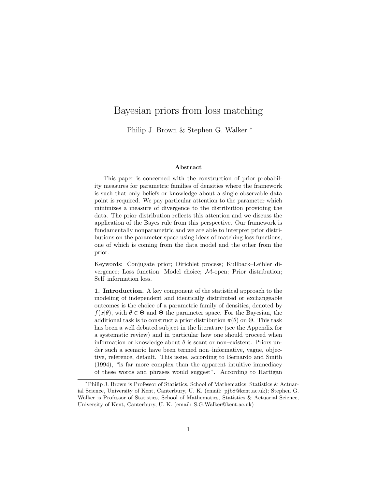### Bayesian priors from loss matching

Philip J. Brown & Stephen G. Walker <sup>∗</sup>

#### Abstract

This paper is concerned with the construction of prior probability measures for parametric families of densities where the framework is such that only beliefs or knowledge about a single observable data point is required. We pay particular attention to the parameter which minimizes a measure of divergence to the distribution providing the data. The prior distribution reflects this attention and we discuss the application of the Bayes rule from this perspective. Our framework is fundamentally nonparametric and we are able to interpret prior distributions on the parameter space using ideas of matching loss functions, one of which is coming from the data model and the other from the prior.

Keywords: Conjugate prior; Dirichlet process; Kullback–Leibler divergence; Loss function; Model choice; M-open; Prior distribution; Self–information loss.

1. Introduction. A key component of the statistical approach to the modeling of independent and identically distributed or exchangeable outcomes is the choice of a parametric family of densities, denoted by  $f(x|\theta)$ , with  $\theta \in \Theta$  and  $\Theta$  the parameter space. For the Bayesian, the additional task is to construct a prior distribution  $\pi(\theta)$  on  $\Theta$ . This task has been a well debated subject in the literature (see the Appendix for a systematic review) and in particular how one should proceed when information or knowledge about  $\theta$  is scant or non–existent. Priors under such a scenario have been termed non–informative, vague, objective, reference, default. This issue, according to Bernardo and Smith (1994), "is far more complex than the apparent intuitive immediacy of these words and phrases would suggest". According to Hartigan

<sup>∗</sup>Philip J. Brown is Professor of Statistics, School of Mathematics, Statistics & Actuarial Science, University of Kent, Canterbury, U. K. (email: pjb8@kent.ac.uk); Stephen G. Walker is Professor of Statistics, School of Mathematics, Statistics & Actuarial Science, University of Kent, Canterbury, U. K. (email: S.G.Walker@kent.ac.uk)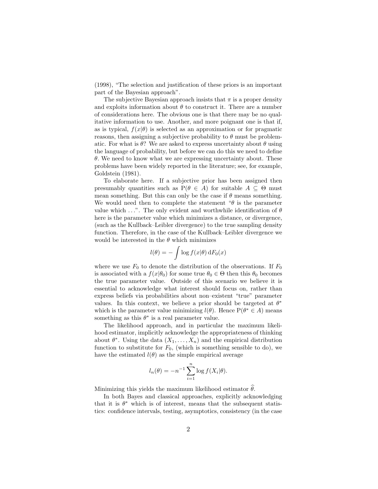(1998), "The selection and justification of these priors is an important part of the Bayesian approach".

The subjective Bayesian approach insists that  $\pi$  is a proper density and exploits information about  $\theta$  to construct it. There are a number of considerations here. The obvious one is that there may be no qualitative information to use. Another, and more poignant one is that if, as is typical,  $f(x|\theta)$  is selected as an approximation or for pragmatic reasons, then assigning a subjective probability to  $\theta$  must be problematic. For what is  $\theta$ ? We are asked to express uncertainty about  $\theta$  using the language of probability, but before we can do this we need to define  $\theta$ . We need to know what we are expressing uncertainty about. These problems have been widely reported in the literature; see, for example, Goldstein (1981).

To elaborate here. If a subjective prior has been assigned then presumably quantities such as  $P(\theta \in A)$  for suitable  $A \subseteq \Theta$  must mean something. But this can only be the case if  $\theta$  means something. We would need then to complete the statement " $\theta$  is the parameter value which  $\dots$ ". The only evident and worthwhile identification of  $\theta$ here is the parameter value which minimizes a distance, or divergence, (such as the Kullback–Leibler divergence) to the true sampling density function. Therefore, in the case of the Kullback–Leibler divergence we would be interested in the  $\theta$  which minimizes

$$
l(\theta) = -\int \log f(x|\theta) \, dF_0(x)
$$

where we use  $F_0$  to denote the distribution of the observations. If  $F_0$ is associated with a  $f(x|\theta_0)$  for some true  $\theta_0 \in \Theta$  then this  $\theta_0$  becomes the true parameter value. Outside of this scenario we believe it is essential to acknowledge what interest should focus on, rather than express beliefs via probabilities about non–existent "true" parameter values. In this context, we believe a prior should be targeted at  $\theta^*$ which is the parameter value minimizing  $l(\theta)$ . Hence  $P(\theta^* \in A)$  means something as this  $\theta^*$  is a real parameter value.

The likelihood approach, and in particular the maximum likelihood estimator, implicitly acknowledge the appropriateness of thinking about  $\theta^*$ . Using the data  $(X_1, \ldots, X_n)$  and the empirical distribution function to substitute for  $F_0$ , (which is something sensible to do), we have the estimated  $l(\theta)$  as the simple empirical average

$$
l_n(\theta) = -n^{-1} \sum_{i=1}^n \log f(X_i|\theta).
$$

Minimizing this yields the maximum likelihood estimator  $\hat{\theta}$ .

In both Bayes and classical approaches, explicitly acknowledging that it is  $\theta^*$  which is of interest, means that the subsequent statistics: confidence intervals, testing, asymptotics, consistency (in the case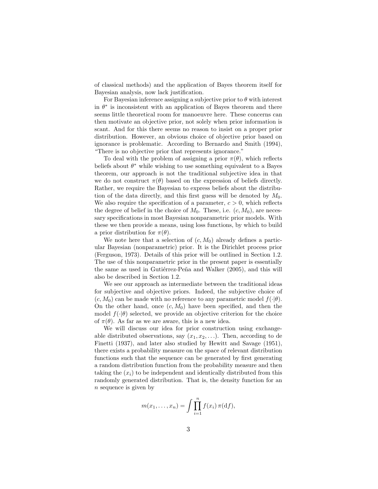of classical methods) and the application of Bayes theorem itself for Bayesian analysis, now lack justification.

For Bayesian inference assigning a subjective prior to  $\theta$  with interest in  $\theta^*$  is inconsistent with an application of Bayes theorem and there seems little theoretical room for manoeuvre here. These concerns can then motivate an objective prior, not solely when prior information is scant. And for this there seems no reason to insist on a proper prior distribution. However, an obvious choice of objective prior based on ignorance is problematic. According to Bernardo and Smith (1994), "There is no objective prior that represents ignorance."

To deal with the problem of assigning a prior  $\pi(\theta)$ , which reflects beliefs about  $\theta^*$  while wishing to use something equivalent to a Bayes theorem, our approach is not the traditional subjective idea in that we do not construct  $\pi(\theta)$  based on the expression of beliefs directly. Rather, we require the Bayesian to express beliefs about the distribution of the data directly, and this first guess will be denoted by  $M_0$ . We also require the specification of a parameter,  $c > 0$ , which reflects the degree of belief in the choice of  $M_0$ . These, i.e.  $(c, M_0)$ , are necessary specifications in most Bayesian nonparametric prior models. With these we then provide a means, using loss functions, by which to build a prior distribution for  $\pi(\theta)$ .

We note here that a selection of  $(c, M_0)$  already defines a particular Bayesian (nonparametric) prior. It is the Dirichlet process prior (Ferguson, 1973). Details of this prior will be outlined in Section 1.2. The use of this nonparametric prior in the present paper is essentially the same as used in Gutiérrez-Peña and Walker (2005), and this will also be described in Section 1.2.

We see our approach as intermediate between the traditional ideas for subjective and objective priors. Indeed, the subjective choice of  $(c, M_0)$  can be made with no reference to any parametric model  $f(\cdot|\theta)$ . On the other hand, once  $(c, M_0)$  have been specified, and then the model  $f(\cdot|\theta)$  selected, we provide an objective criterion for the choice of  $\pi(\theta)$ . As far as we are aware, this is a new idea.

We will discuss our idea for prior construction using exchangeable distributed observations, say  $(x_1, x_2, \ldots)$ . Then, according to de Finetti (1937), and later also studied by Hewitt and Savage (1951), there exists a probability measure on the space of relevant distribution functions such that the sequence can be generated by first generating a random distribution function from the probability measure and then taking the  $(x_i)$  to be independent and identically distributed from this randomly generated distribution. That is, the density function for an n sequence is given by

$$
m(x_1,\ldots,x_n)=\int\prod_{i=1}^n f(x_i)\,\pi(\mathrm{d} f),
$$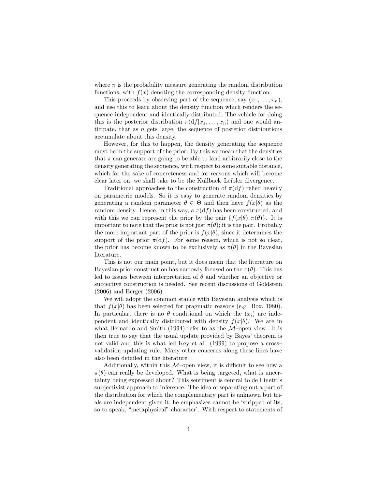where  $\pi$  is the probability measure generating the random distribution functions, with  $f(x)$  denoting the corresponding density function.

This proceeds by observing part of the sequence, say  $(x_1, \ldots, x_n)$ , and use this to learn about the density function which renders the sequence independent and identically distributed. The vehicle for doing this is the posterior distribution  $\pi(df|x_1,\ldots,x_n)$  and one would anticipate, that as  $n$  gets large, the sequence of posterior distributions accumulate about this density.

However, for this to happen, the density generating the sequence must be in the support of the prior. By this we mean that the densities that  $\pi$  can generate are going to be able to land arbitrarily close to the density generating the sequence, with respect to some suitable distance, which for the sake of concreteness and for reasons which will become clear later on, we shall take to be the Kullback–Leibler divergence.

Traditional approaches to the construction of  $\pi(df)$  relied heavily on parametric models. So it is easy to generate random densities by generating a random parameter  $\theta \in \Theta$  and then have  $f(x|\theta)$  as the random density. Hence, in this way, a  $\pi(df)$  has been constructed, and with this we can represent the prior by the pair  $\{f(x|\theta), \pi(\theta)\}\$ . It is important to note that the prior is not just  $\pi(\theta)$ ; it is the pair. Probably the more important part of the prior is  $f(x|\theta)$ , since it determines the support of the prior  $\pi(df)$ . For some reason, which is not so clear, the prior has become known to be exclusively as  $\pi(\theta)$  in the Bayesian literature.

This is not our main point, but it does mean that the literature on Bayesian prior construction has narrowly focused on the  $\pi(\theta)$ . This has led to issues between interpretation of  $\theta$  and whether an objective or subjective construction is needed. See recent discussions of Goldstein (2006) and Berger (2006).

We will adopt the common stance with Bayesian analysis which is that  $f(x|\theta)$  has been selected for pragmatic reasons (e.g. Box, 1980). In particular, there is no  $\theta$  conditional on which the  $(x_i)$  are independent and identically distributed with density  $f(x|\theta)$ . We are in what Bernardo and Smith (1994) refer to as the  $M$ -open view. It is then true to say that the usual update provided by Bayes' theorem is not valid and this is what led Key et al. (1999) to propose a cross– validation updating rule. Many other concerns along these lines have also been detailed in the literature.

Additionally, within this  $M$ –open view, it is difficult to see how a  $\pi(\theta)$  can really be developed. What is being targeted, what is uncertainty being expressed about? This sentiment is central to de Finetti's subjectivist approach to inference. The idea of separating out a part of the distribution for which the complementary part is unknown but trials are independent given it, he emphasizes cannot be 'stripped of its, so to speak, "metaphysical" character'. With respect to statements of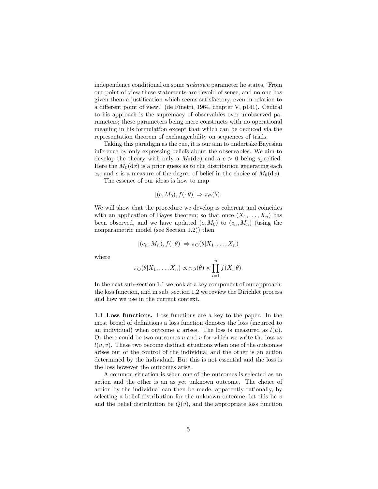independence conditional on some unknown parameter he states, 'From our point of view these statements are devoid of sense, and no one has given them a justification which seems satisfactory, even in relation to a different point of view.' (de Finetti, 1964, chapter V, p141). Central to his approach is the supremacy of observables over unobserved parameters; these parameters being mere constructs with no operational meaning in his formulation except that which can be deduced via the representation theorem of exchangeability on sequences of trials.

Taking this paradigm as the cue, it is our aim to undertake Bayesian inference by only expressing beliefs about the observables. We aim to develop the theory with only a  $M_0(dx)$  and a  $c > 0$  being specified. Here the  $M_0(dx)$  is a prior guess as to the distribution generating each  $x_i$ ; and c is a measure of the degree of belief in the choice of  $M_0(\mathrm{d}x)$ .

The essence of our ideas is how to map

$$
[(c, M_0), f(\cdot | \theta)] \Rightarrow \pi_{\Theta}(\theta).
$$

We will show that the procedure we develop is coherent and coincides with an application of Bayes theorem; so that once  $(X_1, \ldots, X_n)$  has been observed, and we have updated  $(c, M_0)$  to  $(c_n, M_n)$  (using the nonparametric model (see Section 1.2)) then

$$
[(c_n, M_n), f(\cdot | \theta)] \Rightarrow \pi_{\Theta}(\theta | X_1, \dots, X_n)
$$

where

$$
\pi_{\Theta}(\theta|X_1,\ldots,X_n) \propto \pi_{\Theta}(\theta) \times \prod_{i=1}^n f(X_i|\theta).
$$

In the next sub–section 1.1 we look at a key component of our approach: the loss function, and in sub–section 1.2 we review the Dirichlet process and how we use in the current context.

1.1 Loss functions. Loss functions are a key to the paper. In the most broad of definitions a loss function denotes the loss (incurred to an individual) when outcome u arises. The loss is measured as  $l(u)$ . Or there could be two outcomes  $u$  and  $v$  for which we write the loss as  $l(u, v)$ . These two become distinct situations when one of the outcomes arises out of the control of the individual and the other is an action determined by the individual. But this is not essential and the loss is the loss however the outcomes arise.

A common situation is when one of the outcomes is selected as an action and the other is an as yet unknown outcome. The choice of action by the individual can then be made, apparently rationally, by selecting a belief distribution for the unknown outcome, let this be  $v$ and the belief distribution be  $Q(v)$ , and the appropriate loss function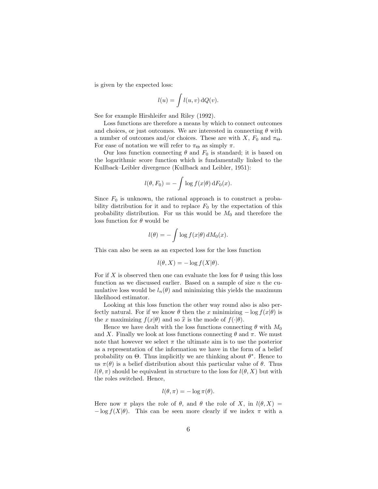is given by the expected loss:

$$
l(u) = \int l(u, v) \, dQ(v).
$$

See for example Hirshleifer and Riley (1992).

Loss functions are therefore a means by which to connect outcomes and choices, or just outcomes. We are interested in connecting  $\theta$  with a number of outcomes and/or choices. These are with X,  $F_0$  and  $\pi_{\Theta}$ . For ease of notation we will refer to  $\pi_{\Theta}$  as simply  $\pi$ .

Our loss function connecting  $\theta$  and  $F_0$  is standard; it is based on the logarithmic score function which is fundamentally linked to the Kullback–Leibler divergence (Kullback and Leibler, 1951):

$$
l(\theta, F_0) = -\int \log f(x|\theta) \, dF_0(x).
$$

Since  $F_0$  is unknown, the rational approach is to construct a probability distribution for it and to replace  $F_0$  by the expectation of this probability distribution. For us this would be  $M_0$  and therefore the loss function for  $\theta$  would be

$$
l(\theta) = -\int \log f(x|\theta) \, dM_0(x).
$$

This can also be seen as an expected loss for the loss function

$$
l(\theta, X) = -\log f(X|\theta).
$$

For if X is observed then one can evaluate the loss for  $\theta$  using this loss function as we discussed earlier. Based on a sample of size  $n$  the cumulative loss would be  $l_n(\theta)$  and minimizing this yields the maximum likelihood estimator.

Looking at this loss function the other way round also is also perfectly natural. For if we know  $\theta$  then the x minimizing  $-\log f(x|\theta)$  is the x maximizing  $f(x|\theta)$  and so  $\hat{x}$  is the mode of  $f(\cdot|\theta)$ .

Hence we have dealt with the loss functions connecting  $\theta$  with  $M_0$ and X. Finally we look at loss functions connecting  $\theta$  and  $\pi$ . We must note that however we select  $\pi$  the ultimate aim is to use the posterior as a representation of the information we have in the form of a belief probability on  $\Theta$ . Thus implicitly we are thinking about  $\theta^*$ . Hence to us  $\pi(\theta)$  is a belief distribution about this particular value of  $\theta$ . Thus  $l(\theta, \pi)$  should be equivalent in structure to the loss for  $l(\theta, X)$  but with the roles switched. Hence,

$$
l(\theta, \pi) = -\log \pi(\theta).
$$

Here now  $\pi$  plays the role of  $\theta$ , and  $\theta$  the role of X, in  $l(\theta, X)$  =  $-\log f(X|\theta)$ . This can be seen more clearly if we index  $\pi$  with a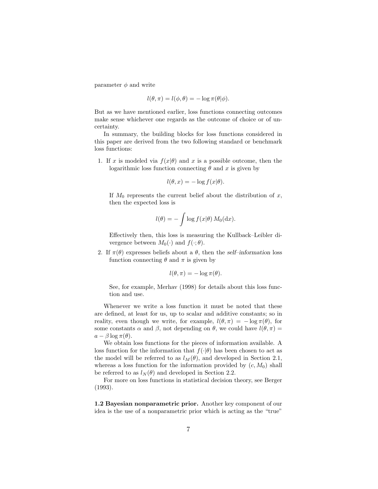parameter  $\phi$  and write

$$
l(\theta, \pi) = l(\phi, \theta) = -\log \pi(\theta | \phi).
$$

But as we have mentioned earlier, loss functions connecting outcomes make sense whichever one regards as the outcome of choice or of uncertainty.

In summary, the building blocks for loss functions considered in this paper are derived from the two following standard or benchmark loss functions:

1. If x is modeled via  $f(x|\theta)$  and x is a possible outcome, then the logarithmic loss function connecting  $\theta$  and x is given by

$$
l(\theta, x) = -\log f(x|\theta).
$$

If  $M_0$  represents the current belief about the distribution of x, then the expected loss is

$$
l(\theta) = -\int \log f(x|\theta) M_0(\mathrm{d}x).
$$

Effectively then, this loss is measuring the Kullback–Leibler divergence between  $M_0(\cdot)$  and  $f(\cdot;\theta)$ .

2. If  $\pi(\theta)$  expresses beliefs about a  $\theta$ , then the *self-information* loss function connecting  $\theta$  and  $\pi$  is given by

$$
l(\theta, \pi) = -\log \pi(\theta).
$$

See, for example, Merhav (1998) for details about this loss function and use.

Whenever we write a loss function it must be noted that these are defined, at least for us, up to scalar and additive constants; so in reality, even though we write, for example,  $l(\theta, \pi) = -\log \pi(\theta)$ , for some constants  $\alpha$  and  $\beta$ , not depending on  $\theta$ , we could have  $l(\theta, \pi) =$  $a - \beta \log \pi(\theta)$ .

We obtain loss functions for the pieces of information available. A loss function for the information that  $f(\cdot|\theta)$  has been chosen to act as the model will be referred to as  $l_M(\theta)$ , and developed in Section 2.1, whereas a loss function for the information provided by  $(c, M_0)$  shall be referred to as  $l_N(\theta)$  and developed in Section 2.2.

For more on loss functions in statistical decision theory, see Berger (1993).

1.2 Bayesian nonparametric prior. Another key component of our idea is the use of a nonparametric prior which is acting as the "true"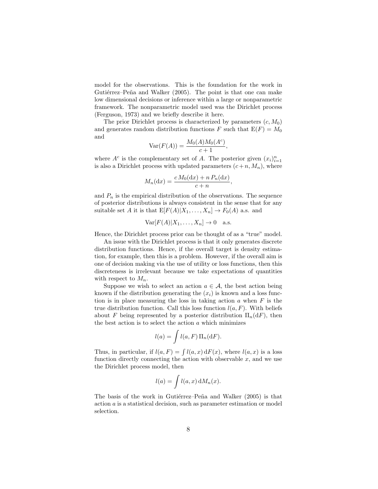model for the observations. This is the foundation for the work in Gutiérrez–Peña and Walker (2005). The point is that one can make low dimensional decisions or inference within a large or nonparametric framework. The nonparametric model used was the Dirichlet process (Ferguson, 1973) and we briefly describe it here.

The prior Dirichlet process is characterized by parameters  $(c, M_0)$ and generates random distribution functions F such that  $E(F) = M_0$ and

$$
\text{Var}(F(A)) = \frac{M_0(A)M_0(A^c)}{c+1},
$$

where  $A^c$  is the complementary set of A. The posterior given  $(x_i)_{i=1}^n$ is also a Dirichlet process with updated parameters  $(c+n, M_n)$ , where

$$
M_n(\mathrm{d}x) = \frac{c M_0(\mathrm{d}x) + n P_n(\mathrm{d}x)}{c + n},
$$

and  $P_n$  is the empirical distribution of the observations. The sequence of posterior distributions is always consistent in the sense that for any suitable set A it is that  $E[F(A)|X_1,\ldots,X_n] \to F_0(A)$  a.s. and

$$
Var[F(A)|X_1,\ldots,X_n] \to 0 \quad a.s.
$$

Hence, the Dirichlet process prior can be thought of as a "true" model.

An issue with the Dirichlet process is that it only generates discrete distribution functions. Hence, if the overall target is density estimation, for example, then this is a problem. However, if the overall aim is one of decision making via the use of utility or loss functions, then this discreteness is irrelevant because we take expectations of quantities with respect to  $M_n$ .

Suppose we wish to select an action  $a \in \mathcal{A}$ , the best action being known if the distribution generating the  $(x_i)$  is known and a loss function is in place measuring the loss in taking action  $a$  when  $F$  is the true distribution function. Call this loss function  $l(a, F)$ . With beliefs about F being represented by a posterior distribution  $\Pi_n(\mathrm{d}F)$ , then the best action is to select the action  $a$  which minimizes

$$
l(a) = \int l(a, F) \, \Pi_n(\mathrm{d}F).
$$

Thus, in particular, if  $l(a, F) = \int l(a, x) dF(x)$ , where  $l(a, x)$  is a loss function directly connecting the action with observable  $x$ , and we use the Dirichlet process model, then

$$
l(a) = \int l(a, x) \, dM_n(x).
$$

The basis of the work in Gutiérrez–Peña and Walker (2005) is that action a is a statistical decision, such as parameter estimation or model selection.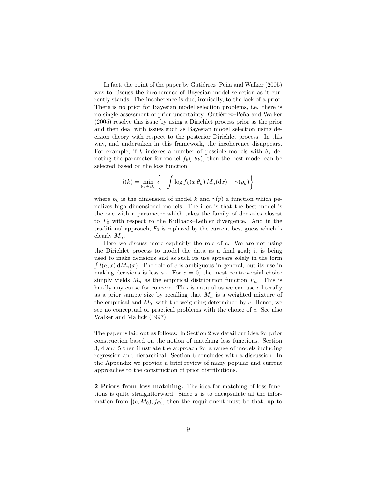In fact, the point of the paper by Gutiérrez–Peña and Walker (2005) was to discuss the incoherence of Bayesian model selection as it currently stands. The incoherence is due, ironically, to the lack of a prior. There is no prior for Bayesian model selection problems, i.e. there is no single assessment of prior uncertainty. Gutiérrez–Peña and Walker (2005) resolve this issue by using a Dirichlet process prior as the prior and then deal with issues such as Bayesian model selection using decision theory with respect to the posterior Dirichlet process. In this way, and undertaken in this framework, the incoherence disappears. For example, if k indexes a number of possible models with  $\theta_k$  denoting the parameter for model  $f_k(\cdot|\theta_k)$ , then the best model can be selected based on the loss function

$$
l(k) = \min_{\theta_k \in \Theta_k} \left\{-\int \log f_k(x|\theta_k) M_n(\mathrm{d}x) + \gamma(p_k)\right\}
$$

where  $p_k$  is the dimension of model k and  $\gamma(p)$  a function which penalizes high dimensional models. The idea is that the best model is the one with a parameter which takes the family of densities closest to  $F_0$  with respect to the Kullback–Leibler divergence. And in the traditional approach,  $F_0$  is replaced by the current best guess which is clearly  $M_n$ .

Here we discuss more explicitly the role of  $c$ . We are not using the Dirichlet process to model the data as a final goal; it is being used to make decisions and as such its use appears solely in the form  $\int l(a, x) dM_n(x)$ . The role of c is ambiguous in general, but its use in making decisions is less so. For  $c = 0$ , the most controversial choice simply yields  $M_n$  as the empirical distribution function  $P_n$ . This is hardly any cause for concern. This is natural as we can use  $c$  literally as a prior sample size by recalling that  $M_n$  is a weighted mixture of the empirical and  $M_0$ , with the weighting determined by c. Hence, we see no conceptual or practical problems with the choice of c. See also Walker and Mallick (1997).

The paper is laid out as follows: In Section 2 we detail our idea for prior construction based on the notion of matching loss functions. Section 3, 4 and 5 then illustrate the approach for a range of models including regression and hierarchical. Section 6 concludes with a discussion. In the Appendix we provide a brief review of many popular and current approaches to the construction of prior distributions.

2 Priors from loss matching. The idea for matching of loss functions is quite straightforward. Since  $\pi$  is to encapsulate all the information from  $[(c, M_0), f_{\Theta}]$ , then the requirement must be that, up to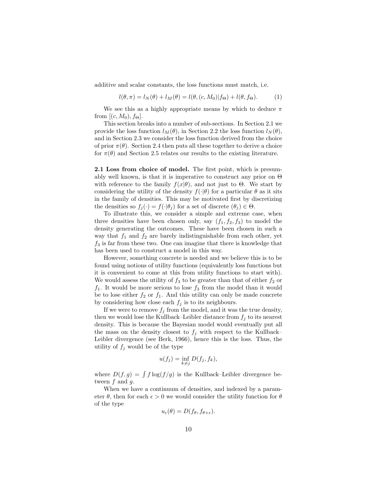additive and scalar constants, the loss functions must match, i.e.

$$
l(\theta, \pi) = l_N(\theta) + l_M(\theta) = l(\theta, (c, M_0)|f_{\Theta}) + l(\theta, f_{\Theta}).
$$
 (1)

We see this as a highly appropriate means by which to deduce  $\pi$ from  $[(c, M_0), f_{\Theta}]$ .

This section breaks into a number of sub-sections. In Section 2.1 we provide the loss function  $l_M(\theta)$ , in Section 2.2 the loss function  $l_N(\theta)$ , and in Section 2.3 we consider the loss function derived from the choice of prior  $\pi(\theta)$ . Section 2.4 then puts all these together to derive a choice for  $\pi(\theta)$  and Section 2.5 relates our results to the existing literature.

2.1 Loss from choice of model. The first point, which is presumably well known, is that it is imperative to construct any prior on  $\Theta$ with reference to the family  $f(x|\theta)$ , and not just to  $\Theta$ . We start by considering the utility of the density  $f(\cdot|\theta)$  for a particular  $\theta$  as it sits in the family of densities. This may be motivated first by discretizing the densities so  $f_j(\cdot) = f(\cdot | \theta_j)$  for a set of discrete  $(\theta_j) \in \Theta$ .

To illustrate this, we consider a simple and extreme case, when three densities have been chosen only, say  $(f_1, f_2, f_3)$  to model the density generating the outcomes. These have been chosen in such a way that  $f_1$  and  $f_2$  are barely indistinguishable from each other, yet  $f_3$  is far from these two. One can imagine that there is knowledge that has been used to construct a model in this way.

However, something concrete is needed and we believe this is to be found using notions of utility functions (equivalently loss functions but it is convenient to come at this from utility functions to start with). We would assess the utility of  $f_3$  to be greater than that of either  $f_2$  or  $f_1$ . It would be more serious to lose  $f_3$  from the model than it would be to lose either  $f_2$  or  $f_1$ . And this utility can only be made concrete by considering how close each  $f_j$  is to its neighbours.

If we were to remove  $f_j$  from the model, and it was the true density, then we would lose the Kullback–Leibler distance from  $f_i$  to its nearest density. This is because the Bayesian model would eventually put all the mass on the density closest to  $f_j$  with respect to the Kullback– Leibler divergence (see Berk, 1966), hence this is the loss. Thus, the utility of  $f_j$  would be of the type

$$
u(f_j) = \inf_{k \neq j} D(f_j, f_k),
$$

where  $D(f, g) = \int f \log(f / g)$  is the Kullback–Leibler divergence between  $f$  and  $q$ .

When we have a continuum of densities, and indexed by a parameter  $\theta$ , then for each  $\epsilon > 0$  we would consider the utility function for  $\theta$ of the type

$$
u_{\epsilon}(\theta) = D(f_{\theta}, f_{\theta + \epsilon}).
$$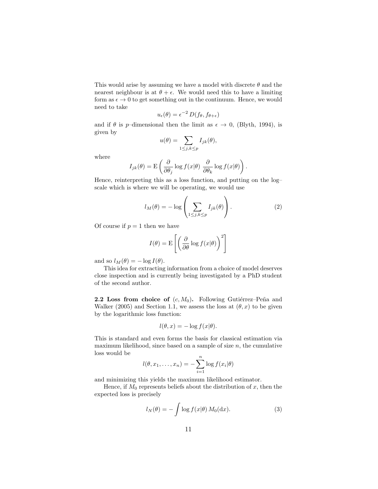This would arise by assuming we have a model with discrete  $\theta$  and the nearest neighbour is at  $\theta + \epsilon$ . We would need this to have a limiting form as  $\epsilon \to 0$  to get something out in the continuum. Hence, we would need to take

$$
u_{\epsilon}(\theta) = \epsilon^{-2} D(f_{\theta}, f_{\theta + \epsilon})
$$

and if  $\theta$  is p–dimensional then the limit as  $\epsilon \to 0$ , (Blyth, 1994), is given by

$$
u(\theta) = \sum_{1 \le j,k \le p} I_{jk}(\theta),
$$

where

$$
I_{jk}(\theta) = \mathbf{E}\left(\frac{\partial}{\partial \theta_j}\log f(x|\theta)\ \frac{\partial}{\partial \theta_k}\log f(x|\theta)\right).
$$

Hence, reinterpreting this as a loss function, and putting on the log– scale which is where we will be operating, we would use

$$
l_M(\theta) = -\log\left(\sum_{1 \le j,k \le p} I_{jk}(\theta)\right). \tag{2}
$$

Of course if  $p = 1$  then we have

$$
I(\theta) = \mathcal{E}\left[\left(\frac{\partial}{\partial \theta} \log f(x|\theta)\right)^2\right]
$$

and so  $l_M(\theta) = -\log I(\theta)$ .

This idea for extracting information from a choice of model deserves close inspection and is currently being investigated by a PhD student of the second author.

**2.2 Loss from choice of**  $(c, M_0)$ . Following Gutiérrez–Peña and Walker (2005) and Section 1.1, we assess the loss at  $(\theta, x)$  to be given by the logarithmic loss function:

$$
l(\theta, x) = -\log f(x|\theta).
$$

This is standard and even forms the basis for classical estimation via maximum likelihood, since based on a sample of size  $n$ , the cumulative loss would be

$$
l(\theta, x_1, \dots, x_n) = -\sum_{i=1}^n \log f(x_i | \theta)
$$

and minimizing this yields the maximum likelihood estimator.

Hence, if  $M_0$  represents beliefs about the distribution of x, then the expected loss is precisely

$$
l_N(\theta) = -\int \log f(x|\theta) M_0(\mathrm{d}x). \tag{3}
$$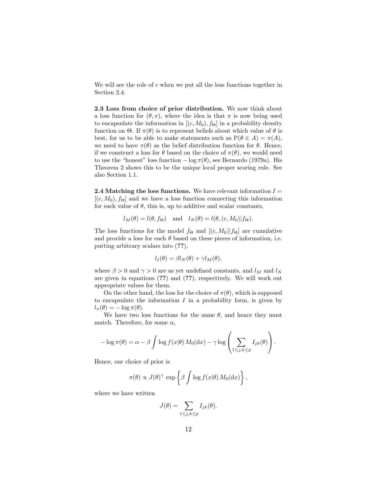We will see the role of  $c$  when we put all the loss functions together in Section 2.4.

2.3 Loss from choice of prior distribution. We now think about a loss function for  $(\theta, \pi)$ , where the idea is that  $\pi$  is now being used to encapsulate the information in  $[(c, M_0), f_{\Theta}]$  in a probability density function on  $\Theta$ . If  $\pi(\theta)$  is to represent beliefs about which value of  $\theta$  is best, for us to be able to make statements such as  $P(\theta \in A) = \pi(A)$ , we need to have  $\pi(\theta)$  as the belief distribution function for  $\theta$ . Hence, if we construct a loss for  $\theta$  based on the choice of  $\pi(\theta)$ , we would need to use the "honest" loss function  $-\log \pi(\theta)$ , see Bernardo (1979a). His Theorem 2 shows this to be the unique local proper scoring rule. See also Section 1.1.

**2.4 Matching the loss functions.** We have relevant information  $I =$  $[(c, M_0), f_{\Theta}]$  and we have a loss function connecting this information for each value of  $\theta$ , this is, up to additive and scalar constants,

$$
l_M(\theta) = l(\theta, f_{\Theta})
$$
 and  $l_N(\theta) = l(\theta, (c, M_0)|f_{\Theta}).$ 

The loss functions for the model  $f_{\Theta}$  and  $[(c, M_0)|f_{\Theta}]$  are cumulative and provide a loss for each  $\theta$  based on these pieces of information, i.e. putting arbitrary scalars into (??),

$$
l_I(\theta) = \beta l_N(\theta) + \gamma l_M(\theta),
$$

where  $\beta > 0$  and  $\gamma > 0$  are as yet undefined constants, and  $l_M$  and  $l_N$ are given in equations (??) and (??), respectively. We will work out appropriate values for them.

On the other hand, the loss for the choice of  $\pi(\theta)$ , which is supposed to encapsulate the information  $I$  in a probability form, is given by  $l_{\pi}(\theta) = -\log \pi(\theta).$ 

We have two loss functions for the same  $\theta$ , and hence they must match. Therefore, for some  $\alpha$ ,

$$
-\log \pi(\theta) = \alpha - \beta \int \log f(x|\theta) M_0(\mathrm{d}x) - \gamma \log \left( \sum_{1 \leq j,k \leq p} I_{jk}(\theta) \right).
$$

Hence, our choice of prior is

$$
\pi(\theta) \propto J(\theta)^{\gamma} \exp \left\{ \beta \int \log f(x|\theta) M_0(\mathrm{d}x) \right\},\,
$$

where we have written

$$
J(\theta) = \sum_{1 \le j,k \le p} I_{jk}(\theta).
$$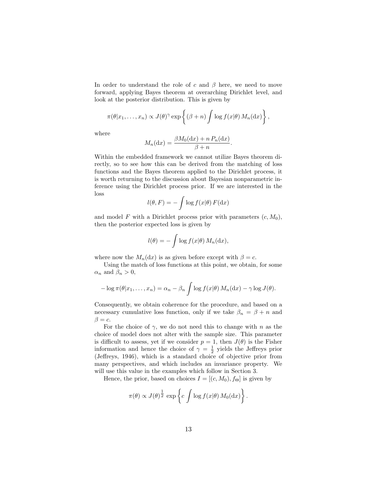In order to understand the role of c and  $\beta$  here, we need to move forward, applying Bayes theorem at overarching Dirichlet level, and look at the posterior distribution. This is given by

$$
\pi(\theta|x_1,\ldots,x_n) \propto J(\theta)^\gamma \exp\left\{(\beta+n)\int \log f(x|\theta) M_n(\mathrm{d}x)\right\},\,
$$

where

$$
M_n(\mathrm{d}x) = \frac{\beta M_0(\mathrm{d}x) + n P_n(\mathrm{d}x)}{\beta + n}.
$$

Within the embedded framework we cannot utilize Bayes theorem directly, so to see how this can be derived from the matching of loss functions and the Bayes theorem applied to the Dirichlet process, it is worth returning to the discussion about Bayesian nonparametric inference using the Dirichlet process prior. If we are interested in the loss

$$
l(\theta, F) = -\int \log f(x|\theta) F(\mathrm{d}x)
$$

and model F with a Dirichlet process prior with parameters  $(c, M_0)$ , then the posterior expected loss is given by

$$
l(\theta) = -\int \log f(x|\theta) M_n(\mathrm{d}x),
$$

where now the  $M_n(\mathrm{d}x)$  is as given before except with  $\beta = c$ .

Using the match of loss functions at this point, we obtain, for some  $\alpha_n$  and  $\beta_n > 0$ ,

$$
-\log \pi(\theta | x_1,\ldots,x_n) = \alpha_n - \beta_n \int \log f(x|\theta) M_n(\mathrm{d}x) - \gamma \log J(\theta).
$$

Consequently, we obtain coherence for the procedure, and based on a necessary cumulative loss function, only if we take  $\beta_n = \beta + n$  and  $\beta = c$ .

For the choice of  $\gamma$ , we do not need this to change with n as the choice of model does not alter with the sample size. This parameter is difficult to assess, yet if we consider  $p = 1$ , then  $J(\theta)$  is the Fisher information and hence the choice of  $\gamma = \frac{1}{2}$  yields the Jeffreys prior (Jeffreys, 1946), which is a standard choice of objective prior from many perspectives, and which includes an invariance property. We will use this value in the examples which follow in Section 3.

Hence, the prior, based on choices  $I = [(c, M_0), f_{\Theta}]$  is given by

$$
\pi(\theta) \propto J(\theta)^{\frac{1}{2}} \exp \left\{ c \int \log f(x|\theta) M_0(\mathrm{d}x) \right\}.
$$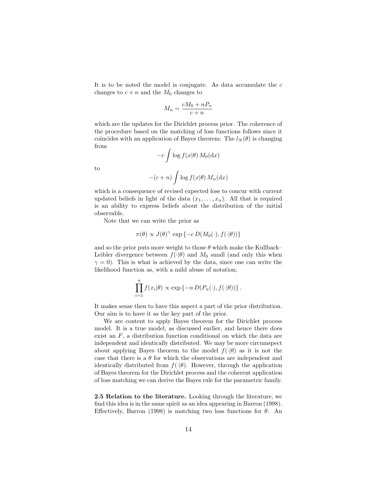It is to be noted the model is conjugate. As data accumulate the  $c$ changes to  $c + n$  and the  $M_0$  changes to

$$
M_n = \frac{cM_0 + nP_n}{c + n}
$$

which are the updates for the Dirichlet process prior. The coherence of the procedure based on the matching of loss functions follows since it coincides with an application of Bayes theorem: The  $l_N(\theta)$  is changing from

$$
-c \int \log f(x|\theta) M_0(\mathrm{d}x)
$$

to

$$
-(c+n)\int \log f(x|\theta) M_n(\mathrm{d}x)
$$

which is a consequence of revised expected loss to concur with current updated beliefs in light of the data  $(x_1, \ldots, x_n)$ . All that is required is an ability to express beliefs about the distribution of the initial observable.

Note that we can write the prior as

$$
\pi(\theta) \propto J(\theta)^\gamma \, \exp \left\{ - c \, D(M_0(\cdot), f(\cdot|\theta)) \right\}
$$

and so the prior puts more weight to those  $\theta$  which make the Kullback– Leibler divergence between  $f(\cdot|\theta)$  and  $M_0$  small (and only this when  $\gamma = 0$ ). This is what is achieved by the data, since one can write the likelihood function as, with a mild abuse of notation,

$$
\prod_{i=1}^n f(x_i|\theta) \propto \exp\left\{-n D(P_n(\cdot), f(\cdot|\theta))\right\}.
$$

It makes sense then to have this aspect a part of the prior distribution. Our aim is to have it as the key part of the prior.

We are content to apply Bayes theorem for the Dirichlet process model. It is a true model, as discussed earlier, and hence there does exist an  $F$ , a distribution function conditional on which the data are independent and identically distributed. We may be more circumspect about applying Bayes theorem to the model  $f(\cdot|\theta)$  as it is not the case that there is a  $\theta$  for which the observations are independent and identically distributed from  $f(\cdot|\theta)$ . However, through the application of Bayes theorem for the Dirichlet process and the coherent application of loss matching we can derive the Bayes rule for the parametric family.

2.5 Relation to the literature. Looking through the literature, we find this idea is in the same spirit as an idea appearing in Barron (1998). Effectively, Barron (1998) is matching two loss functions for  $\theta$ . An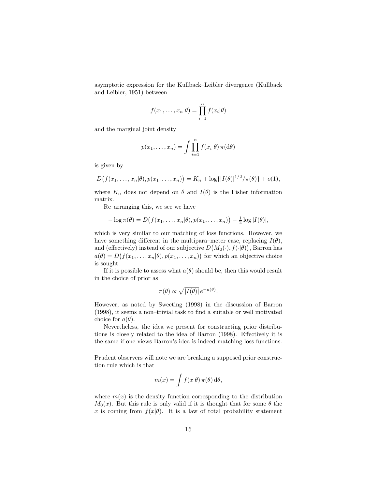asymptotic expression for the Kullback–Leibler divergence (Kullback and Leibler, 1951) between

$$
f(x_1,\ldots,x_n|\theta) = \prod_{i=1}^n f(x_i|\theta)
$$

and the marginal joint density

$$
p(x_1,...,x_n) = \int \prod_{i=1}^n f(x_i|\theta) \,\pi(\mathrm{d}\theta)
$$

is given by

$$
D(f(x_1,...,x_n|\theta),p(x_1,...,x_n)) = K_n + \log\{|I(\theta)|^{1/2}/\pi(\theta)\} + o(1),
$$

where  $K_n$  does not depend on  $\theta$  and  $I(\theta)$  is the Fisher information matrix.

Re–arranging this, we see we have

$$
-\log \pi(\theta) = D(f(x_1,\ldots,x_n|\theta),p(x_1,\ldots,x_n)) - \frac{1}{2}\log |I(\theta)|,
$$

which is very similar to our matching of loss functions. However, we have something different in the multipara–meter case, replacing  $I(\theta)$ , and (effectively) instead of our subjective  $D(M_0(\cdot), f(\cdot|\theta))$ , Barron has  $a(\theta) = D(f(x_1, \ldots, x_n | \theta), p(x_1, \ldots, x_n))$  for which an objective choice is sought.

If it is possible to assess what  $a(\theta)$  should be, then this would result in the choice of prior as

$$
\pi(\theta) \propto \sqrt{|I(\theta)|} e^{-a(\theta)}.
$$

However, as noted by Sweeting (1998) in the discussion of Barron (1998), it seems a non–trivial task to find a suitable or well motivated choice for  $a(\theta)$ .

Nevertheless, the idea we present for constructing prior distributions is closely related to the idea of Barron (1998). Effectively it is the same if one views Barron's idea is indeed matching loss functions.

Prudent observers will note we are breaking a supposed prior construction rule which is that

$$
m(x) = \int f(x|\theta) \,\pi(\theta) \,\mathrm{d}\theta,
$$

where  $m(x)$  is the density function corresponding to the distribution  $M_0(x)$ . But this rule is only valid if it is thought that for some  $\theta$  the x is coming from  $f(x|\theta)$ . It is a law of total probability statement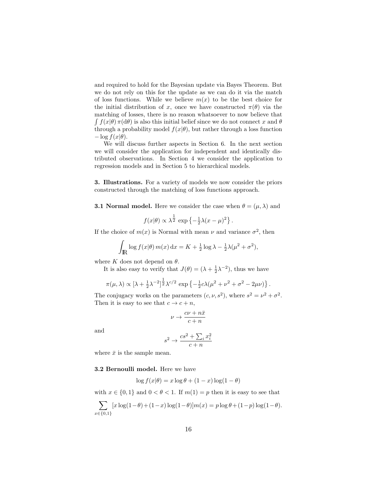and required to hold for the Bayesian update via Bayes Theorem. But we do not rely on this for the update as we can do it via the match of loss functions. While we believe  $m(x)$  to be the best choice for the initial distribution of x, once we have constructed  $\pi(\theta)$  via the matching of losses, there is no reason whatsoever to now believe that  $\int f(x|\theta) \pi(d\theta)$  is also this initial belief since we do not connect x and  $\theta$ through a probability model  $f(x|\theta)$ , but rather through a loss function  $-\log f(x|\theta)$ .

We will discuss further aspects in Section 6. In the next section we will consider the application for independent and identically distributed observations. In Section 4 we consider the application to regression models and in Section 5 to hierarchical models.

3. Illustrations. For a variety of models we now consider the priors constructed through the matching of loss functions approach.

**3.1 Normal model.** Here we consider the case when  $\theta = (\mu, \lambda)$  and

$$
f(x|\theta) \propto \lambda^{\frac{1}{2}} \exp \left\{-\frac{1}{2}\lambda(x-\mu)^2\right\}.
$$

If the choice of  $m(x)$  is Normal with mean  $\nu$  and variance  $\sigma^2$ , then

$$
\int_{\mathbb{R}} \log f(x|\theta) m(x) dx = K + \frac{1}{2} \log \lambda - \frac{1}{2} \lambda (\mu^2 + \sigma^2),
$$

where K does not depend on  $\theta$ .

It is also easy to verify that  $J(\theta) = (\lambda + \frac{1}{2}\lambda^{-2})$ , thus we have

$$
\pi(\mu,\lambda) \propto \left[\lambda + \frac{1}{2}\lambda^{-2}\right]^{\frac{1}{2}}\lambda^{c/2} \exp\left\{-\frac{1}{2}c\lambda(\mu^2 + \nu^2 + \sigma^2 - 2\mu\nu)\right\}.
$$

The conjugacy works on the parameters  $(c, \nu, s^2)$ , where  $s^2 = \nu^2 + \sigma^2$ . Then it is easy to see that  $c \to c + n$ ,

$$
\nu \to \frac{c\nu + n\bar{x}}{c+n}
$$

and

$$
s^2 \to \frac{cs^2 + \sum_i x_i^2}{c + n}
$$

where  $\bar{x}$  is the sample mean.

3.2 Bernoulli model. Here we have

$$
\log f(x|\theta) = x \log \theta + (1 - x) \log(1 - \theta)
$$

with  $x \in \{0, 1\}$  and  $0 < \theta < 1$ . If  $m(1) = p$  then it is easy to see that

$$
\sum_{x \in \{0,1\}} [x \log(1-\theta) + (1-x) \log(1-\theta)] m(x) = p \log \theta + (1-p) \log(1-\theta).
$$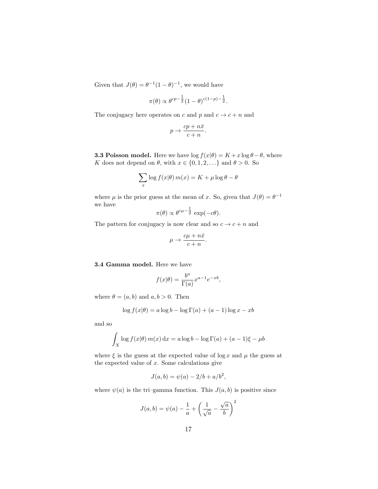Given that  $J(\theta) = \theta^{-1}(1-\theta)^{-1}$ , we would have

$$
\pi(\theta) \propto \theta^{cp-\frac{1}{2}} (1-\theta)^{c(1-p)-\frac{1}{2}}.
$$

The conjugacy here operates on c and p and  $c \to c + n$  and

$$
p \to \frac{cp + n\bar{x}}{c + n}.
$$

**3.3 Poisson model.** Here we have  $\log f(x|\theta) = K + x \log \theta - \theta$ , where K does not depend on  $\theta$ , with  $x \in \{0, 1, 2, \ldots\}$  and  $\theta > 0$ . So

$$
\sum_{x} \log f(x|\theta) m(x) = K + \mu \log \theta - \theta
$$

where  $\mu$  is the prior guess at the mean of x. So, given that  $J(\theta) = \theta^{-1}$ we have

$$
\pi(\theta) \propto \theta^{c\mu - \frac{1}{2}} \exp(-c\theta).
$$

The pattern for conjugacy is now clear and so  $c \to c + n$  and

$$
\mu \to \frac{c\mu + n\bar{x}}{c + n}.
$$

3.4 Gamma model. Here we have

$$
f(x|\theta) = \frac{b^a}{\Gamma(a)} x^{a-1} e^{-xb},
$$

where  $\theta = (a, b)$  and  $a, b > 0$ . Then

$$
\log f(x|\theta) = a \log b - \log \Gamma(a) + (a - 1) \log x - xb
$$

and so

$$
\int_X \log f(x|\theta) m(x) dx = a \log b - \log \Gamma(a) + (a - 1)\xi - \mu b
$$

where  $\xi$  is the guess at the expected value of log x and  $\mu$  the guess at the expected value of  $x$ . Some calculations give

$$
J(a, b) = \psi(a) - 2/b + a/b^2,
$$

where  $\psi(a)$  is the tri–gamma function. This  $J(a, b)$  is positive since

$$
J(a,b) = \psi(a) - \frac{1}{a} + \left(\frac{1}{\sqrt{a}} - \frac{\sqrt{a}}{b}\right)^2
$$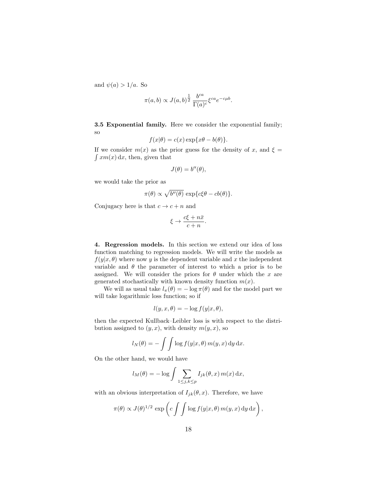and  $\psi(a) > 1/a$ . So

$$
\pi(a,b) \propto J(a,b)^{\frac{1}{2}} \frac{b^{ca}}{\Gamma(a)^c} \xi^{ca} e^{-c\mu b}.
$$

3.5 Exponential family. Here we consider the exponential family; so

$$
f(x|\theta) = c(x) \exp\{x\theta - b(\theta)\}.
$$

If we consider  $m(x)$  as the prior guess for the density of x, and  $\xi =$  $\int xm(x) dx$ , then, given that

$$
J(\theta) = b''(\theta),
$$

we would take the prior as

$$
\pi(\theta) \propto \sqrt{b''(\theta)} \, \exp\{c\xi\theta - cb(\theta)\}.
$$

Conjugacy here is that  $c \to c + n$  and

$$
\xi \to \frac{c\xi + n\bar{x}}{c + n}.
$$

4. Regression models. In this section we extend our idea of loss function matching to regression models. We will write the models as  $f(y|x, \theta)$  where now y is the dependent variable and x the independent variable and  $\theta$  the parameter of interest to which a prior is to be assigned. We will consider the priors for  $\theta$  under which the x are generated stochastically with known density function  $m(x)$ .

We will as usual take  $l_{\pi}(\theta) = -\log \pi(\theta)$  and for the model part we will take logarithmic loss function; so if

$$
l(y, x, \theta) = -\log f(y|x, \theta),
$$

then the expected Kullback–Leibler loss is with respect to the distribution assigned to  $(y, x)$ , with density  $m(y, x)$ , so

$$
l_N(\theta) = -\int \int \log f(y|x,\theta) \, m(y,x) \, dy \, dx.
$$

On the other hand, we would have

$$
l_M(\theta) = -\log \int \sum_{1 \le j,k \le p} I_{jk}(\theta, x) m(x) dx,
$$

with an obvious interpretation of  $I_{jk}(\theta, x)$ . Therefore, we have

$$
\pi(\theta) \propto J(\theta)^{1/2} \exp\left(c \int \int \log f(y|x,\theta) \, m(y,x) \, dy \, dx\right),\,
$$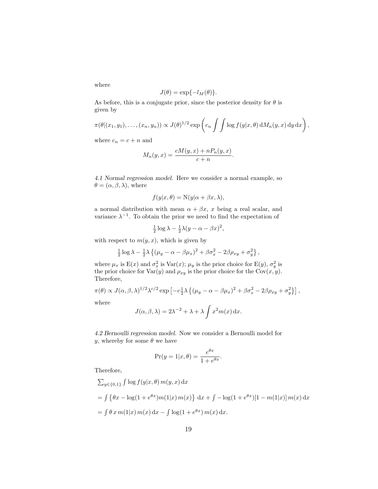where

$$
J(\theta) = \exp\{-l_M(\theta)\}.
$$

As before, this is a conjugate prior, since the posterior density for  $\theta$  is given by

$$
\pi(\theta|(x_1,y_1),\ldots,(x_n,y_n)) \propto J(\theta)^{1/2} \exp\left(c_n \int \int \log f(y|x,\theta) dM_n(y,x) dy dx\right),
$$

where  $c_n = c + n$  and

$$
M_n(y,x) = \frac{cM(y,x) + nP_n(y,x)}{c+n}.
$$

*4.1 Normal regression model.* Here we consider a normal example, so  $\theta = (\alpha, \beta, \lambda)$ , where

$$
f(y|x,\theta) = \mathcal{N}(y|\alpha + \beta x, \lambda),
$$

a normal distribution with mean  $\alpha + \beta x$ , x being a real scalar, and variance  $\lambda^{-1}$ . To obtain the prior we need to find the expectation of

$$
\frac{1}{2}\log\lambda - \frac{1}{2}\lambda(y - \alpha - \beta x)^2,
$$

with respect to  $m(y, x)$ , which is given by

$$
\frac{1}{2}\log\lambda - \frac{1}{2}\lambda \left\{ (\mu_y - \alpha - \beta \mu_x)^2 + \beta \sigma_x^2 - 2\beta \rho_{xy} + \sigma_y^2 \right\},\,
$$

where  $\mu_x$  is E(x) and  $\sigma_x^2$  is Var(x);  $\mu_y$  is the prior choice for E(y),  $\sigma_y^2$  is the prior choice for  $\text{Var}(y)$  and  $\rho_{xy}$  is the prior choice for the  $\text{Cov}(x, y)$ . Therefore,

$$
\pi(\theta) \propto J(\alpha, \beta, \lambda)^{1/2} \lambda^{c/2} \exp \left[ -c \frac{1}{2} \lambda \left\{ (\mu_y - \alpha - \beta \mu_x)^2 + \beta \sigma_x^2 - 2\beta \rho_{xy} + \sigma_y^2 \right\} \right],
$$

where

$$
J(\alpha, \beta, \lambda) = 2\lambda^{-2} + \lambda + \lambda \int x^2 m(x) dx.
$$

*4.2 Bernoulli regression model.* Now we consider a Bernoulli model for y, whereby for some  $\theta$  we have

$$
\Pr(y=1|x,\theta) = \frac{e^{\theta x}}{1+e^{\theta x}}.
$$

Therefore,

$$
\sum_{y \in \{0,1\}} \int \log f(y|x,\theta) m(y,x) dx
$$
  
= 
$$
\int {\theta x - \log(1 + e^{\theta x})m(1|x) m(x)} dx + \int -\log(1 + e^{\theta x})[1 - m(1|x)] m(x) dx
$$
  
= 
$$
\int \theta x m(1|x) m(x) dx - \int \log(1 + e^{\theta x}) m(x) dx.
$$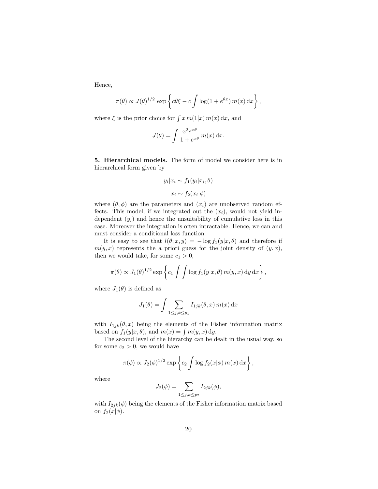Hence,

$$
\pi(\theta) \propto J(\theta)^{1/2} \exp \left\{ c\theta \xi - c \int \log(1 + e^{\theta x}) m(x) dx \right\},\,
$$

where  $\xi$  is the prior choice for  $\int x m(1|x) m(x) dx$ , and

$$
J(\theta) = \int \frac{x^2 e^{x\theta}}{1 + e^{x\theta}} m(x) dx.
$$

5. Hierarchical models. The form of model we consider here is in hierarchical form given by

$$
y_i|x_i \sim f_1(y_i|x_i, \theta)
$$

$$
x_i \sim f_2(x_i|\phi)
$$

where  $(\theta, \phi)$  are the parameters and  $(x_i)$  are unobserved random effects. This model, if we integrated out the  $(x_i)$ , would not yield independent  $(y_i)$  and hence the unsuitability of cumulative loss in this case. Moreover the integration is often intractable. Hence, we can and must consider a conditional loss function.

It is easy to see that  $l(\theta; x, y) = -\log f_1(y|x, \theta)$  and therefore if  $m(y, x)$  represents the a priori guess for the joint density of  $(y, x)$ , then we would take, for some  $c_1 > 0$ ,

$$
\pi(\theta) \propto J_1(\theta)^{1/2} \exp \left\{ c_1 \int \int \log f_1(y|x,\theta) m(y,x) dy dx \right\},\,
$$

where  $J_1(\theta)$  is defined as

$$
J_1(\theta) = \int \sum_{1 \le j,k \le p_1} I_{1jk}(\theta, x) m(x) \,dx
$$

with  $I_{1jk}(\theta, x)$  being the elements of the Fisher information matrix based on  $f_1(y|x, \theta)$ , and  $m(x) = \int m(y, x) dy$ .

The second level of the hierarchy can be dealt in the usual way, so for some  $c_2 > 0$ , we would have

$$
\pi(\phi) \propto J_2(\phi)^{1/2} \exp\left\{c_2 \int \log f_2(x|\phi) m(x) \,dx\right\},\,
$$

where

$$
J_2(\phi) = \sum_{1 \le j,k \le p_2} I_{2jk}(\phi),
$$

with  $I_{2jk}(\phi)$  being the elements of the Fisher information matrix based on  $f_2(x|\phi)$ .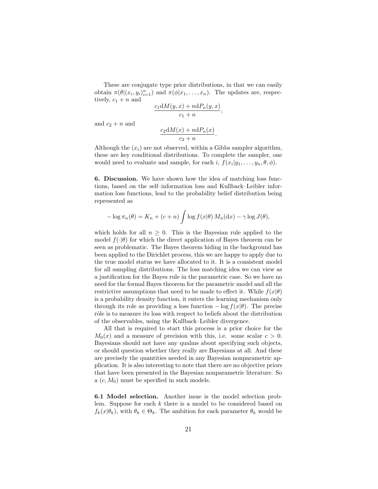These are conjugate type prior distributions, in that we can easily obtain  $\pi(\theta|(x_i, y_i)_{i=1}^n)$  and  $\pi(\phi|x_1, \ldots, x_n)$ . The updates are, respectively,  $c_1 + n$  and

$$
\frac{c_1 \mathrm{d}M(y,x) + n \mathrm{d}P_n(y,x)}{c_1 + n},
$$

and  $c_2 + n$  and

$$
\frac{c_2 \mathrm{d}M(x) + n \mathrm{d}P_n(x)}{c_2 + n}.
$$

Although the  $(x_i)$  are not observed, within a Gibbs sampler algorithm, these are key conditional distributions. To complete the sampler, one would need to evaluate and sample, for each  $i, f(x_i|y_1, \ldots, y_n, \theta, \phi)$ .

6. Discussion. We have shown how the idea of matching loss functions, based on the self–information loss and Kullback–Leibler information loss functions, lead to the probability belief distribution being represented as

$$
-\log \pi_n(\theta) = K_n + (c+n) \int \log f(x|\theta) M_n(\mathrm{d}x) - \gamma \log J(\theta),
$$

which holds for all  $n \geq 0$ . This is the Bayesian rule applied to the model  $f(\cdot|\theta)$  for which the direct application of Bayes theorem can be seen as problematic. The Bayes theorem hiding in the background has been applied to the Dirichlet process, this we are happy to apply due to the true model status we have allocated to it. It is a consistent model for all sampling distributions. The loss matching idea we can view as a justification for the Bayes rule in the parametric case. So we have no need for the formal Bayes theorem for the parametric model and all the restrictive assumptions that need to be made to effect it. While  $f(x|\theta)$ is a probability density function, it enters the learning mechanism only through its role as providing a loss function  $-\log f(x|\theta)$ . The precise rôle is to measure its loss with respect to beliefs about the distribution of the observables, using the Kullback–Leibler divergence.

All that is required to start this process is a prior choice for the  $M_0(x)$  and a measure of precision with this, i.e. some scalar  $c > 0$ . Bayesians should not have any qualms about specifying such objects, or should question whether they really are Bayesians at all. And these are precisely the quantities needed in any Bayesian nonparametric application. It is also interesting to note that there are no objective priors that have been presented in the Bayesian nonparametric literature. So a  $(c, M_0)$  must be specified in such models.

6.1 Model selection. Another issue is the model selection problem. Suppose for each  $k$  there is a model to be considered based on  $f_k(x|\theta_k)$ , with  $\theta_k \in \Theta_k$ . The ambition for each parameter  $\theta_k$  would be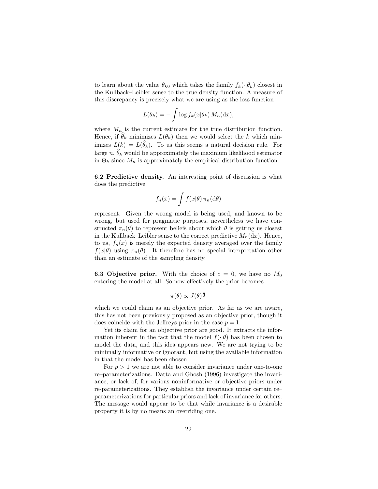to learn about the value  $\theta_{k0}$  which takes the family  $f_k(\cdot|\theta_k)$  closest in the Kullback–Leibler sense to the true density function. A measure of this discrepancy is precisely what we are using as the loss function

$$
L(\theta_k) = -\int \log f_k(x|\theta_k) M_n(\mathrm{d}x),
$$

where  $M_n$  is the current estimate for the true distribution function. Hence, if  $\theta_k$  minimizes  $L(\theta_k)$  then we would select the k which minimizes  $L(k) = L(\theta_k)$ . To us this seems a natural decision rule. For large n,  $\hat{\theta}_k$  would be approximately the maximum likelihood estimator in  $\Theta_k$  since  $M_n$  is approximately the empirical distribution function.

6.2 Predictive density. An interesting point of discussion is what does the predictive

$$
f_n(x) = \int f(x|\theta) \,\pi_n(\mathrm{d}\theta)
$$

represent. Given the wrong model is being used, and known to be wrong, but used for pragmatic purposes, nevertheless we have constructed  $\pi_n(\theta)$  to represent beliefs about which  $\theta$  is getting us closest in the Kullback–Leibler sense to the correct predictive  $M_n(\mathrm{d}x)$ . Hence, to us,  $f_n(x)$  is merely the expected density averaged over the family  $f(x|\theta)$  using  $\pi_n(\theta)$ . It therefore has no special interpretation other than an estimate of the sampling density.

**6.3 Objective prior.** With the choice of  $c = 0$ , we have no  $M_0$ entering the model at all. So now effectively the prior becomes

$$
\pi(\theta) \propto J(\theta)^{\frac{1}{2}}
$$

which we could claim as an objective prior. As far as we are aware, this has not been previously proposed as an objective prior, though it does coincide with the Jeffreys prior in the case  $p = 1$ .

Yet its claim for an objective prior are good. It extracts the information inherent in the fact that the model  $f(\cdot|\theta)$  has been chosen to model the data, and this idea appears new. We are not trying to be minimally informative or ignorant, but using the available information in that the model has been chosen

For  $p > 1$  we are not able to consider invariance under one-to-one re–parameterizations. Datta and Ghosh (1996) investigate the invariance, or lack of, for various noninformative or objective priors under re-parameterizations. They establish the invariance under certain re– parameterizations for particular priors and lack of invariance for others. The message would appear to be that while invariance is a desirable property it is by no means an overriding one.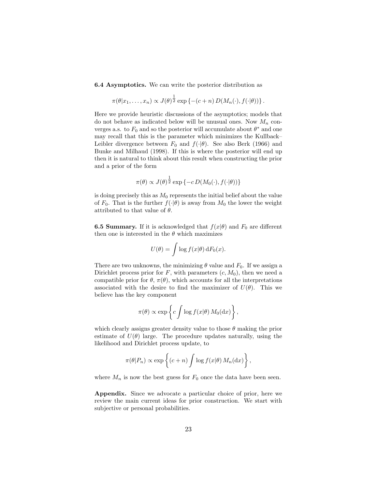6.4 Asymptotics. We can write the posterior distribution as

$$
\pi(\theta|x_1,\ldots,x_n) \propto J(\theta)^{\frac{1}{2}} \exp\left\{-(c+n) D(M_n(\cdot),f(\cdot|\theta))\right\}.
$$

Here we provide heuristic discussions of the asymptotics; models that do not behave as indicated below will be unusual ones. Now  $M_n$  converges a.s. to  $F_0$  and so the posterior will accumulate about  $\theta^*$  and one may recall that this is the parameter which minimizes the Kullback– Leibler divergence between  $F_0$  and  $f(\cdot|\theta)$ . See also Berk (1966) and Bunke and Milhaud (1998). If this is where the posterior will end up then it is natural to think about this result when constructing the prior and a prior of the form

$$
\pi(\theta) \propto J(\theta)^{\frac{1}{2}} \exp \left\{-c D(M_0(\cdot), f(\cdot | \theta))\right\}
$$

is doing precisely this as  $M_0$  represents the initial belief about the value of  $F_0$ . That is the further  $f(\cdot|\theta)$  is away from  $M_0$  the lower the weight attributed to that value of  $\theta$ .

**6.5 Summary.** If it is acknowledged that  $f(x|\theta)$  and  $F_0$  are different then one is interested in the  $\theta$  which maximizes

$$
U(\theta) = \int \log f(x|\theta) \, dF_0(x).
$$

There are two unknowns, the minimizing  $\theta$  value and  $F_0$ . If we assign a Dirichlet process prior for  $F$ , with parameters  $(c, M_0)$ , then we need a compatible prior for  $\theta$ ,  $\pi(\theta)$ , which accounts for all the interpretations associated with the desire to find the maximizer of  $U(\theta)$ . This we believe has the key component

$$
\pi(\theta) \propto \exp\left\{c \int \log f(x|\theta) M_0(\mathrm{d}x)\right\},\,
$$

which clearly assigns greater density value to those  $\theta$  making the prior estimate of  $U(\theta)$  large. The procedure updates naturally, using the likelihood and Dirichlet process update, to

$$
\pi(\theta|P_n) \propto \exp\left\{ (c+n) \int \log f(x|\theta) M_n(\mathrm{d}x) \right\},\,
$$

where  $M_n$  is now the best guess for  $F_0$  once the data have been seen.

Appendix. Since we advocate a particular choice of prior, here we review the main current ideas for prior construction. We start with subjective or personal probabilities.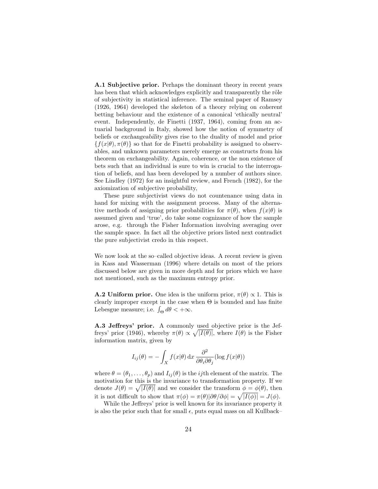A.1 Subjective prior. Perhaps the dominant theory in recent years has been that which acknowledges explicitly and transparently the rôle of subjectivity in statistical inference. The seminal paper of Ramsey (1926, 1964) developed the skeleton of a theory relying on *coherent* betting behaviour and the existence of a canonical 'ethically neutral' event. Independently, de Finetti (1937, 1964), coming from an actuarial background in Italy, showed how the notion of symmetry of beliefs or *exchangeability* gives rise to the duality of model and prior  ${f(x|\theta), \pi(\theta)}$  so that for de Finetti probability is assigned to observables, and unknown parameters merely emerge as constructs from his theorem on exchangeability. Again, coherence, or the non existence of bets such that an individual is sure to win is crucial to the interrogation of beliefs, and has been developed by a number of authors since. See Lindley (1972) for an insightful review, and French (1982), for the axiomization of subjective probability,

These pure subjectivist views do not countenance using data in hand for mixing with the assignment process. Many of the alternative methods of assigning prior probabilities for  $\pi(\theta)$ , when  $f(x|\theta)$  is assumed given and 'true', do take some cognizance of how the sample arose, e.g. through the Fisher Information involving averaging over the sample space. In fact all the objective priors listed next contradict the pure subjectivist credo in this respect.

We now look at the so–called objective ideas. A recent review is given in Kass and Wasserman (1996) where details on most of the priors discussed below are given in more depth and for priors which we have not mentioned, such as the maximum entropy prior.

**A.2 Uniform prior.** One idea is the uniform prior,  $\pi(\theta) \propto 1$ . This is clearly improper except in the case when  $\Theta$  is bounded and has finite Lebesgue measure; i.e.  $\int_{\Theta} d\theta < +\infty$ .

A.3 Jeffreys' prior. A commonly used objective prior is the Jeffreys' prior (1946), whereby  $\pi(\theta) \propto \sqrt{|I(\theta)|}$ , where  $I(\theta)$  is the Fisher information matrix, given by

$$
I_{ij}(\theta) = -\int_X f(x|\theta) dx \frac{\partial^2}{\partial \theta_i \partial \theta_j} (\log f(x|\theta))
$$

where  $\theta = (\theta_1, \dots, \theta_p)$  and  $I_{ij}(\theta)$  is the *ij*th element of the matrix. The motivation for this is the invariance to transformation property. If we denote  $J(\theta) = \sqrt{|I(\theta)|}$  and we consider the transform  $\phi = \phi(\theta)$ , then it is not difficult to show that  $\pi(\phi) = \pi(\theta)|\partial\theta/\partial\phi| = \sqrt{|I(\phi)|} = J(\phi)$ .

While the Jeffreys' prior is well known for its invariance property it is also the prior such that for small  $\epsilon$ , puts equal mass on all Kullback–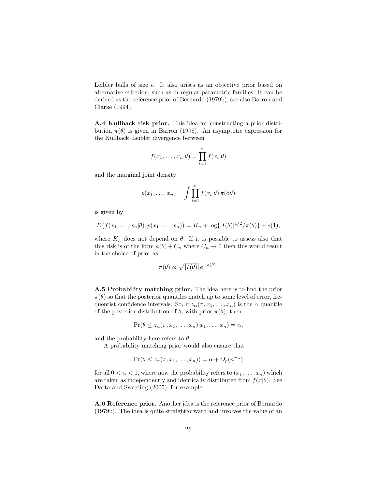Leibler balls of size  $\epsilon$ . It also arises as an objective prior based on alternative criterion, such as in regular parametric families. It can be derived as the reference prior of Bernardo (1979b), see also Barron and Clarke (1994).

A.4 Kullback risk prior. This idea for constructing a prior distribution  $\pi(\theta)$  is given in Barron (1998). An asymptotic expression for the Kullback–Leibler divergence between

$$
f(x_1,\ldots,x_n|\theta) = \prod_{i=1}^n f(x_i|\theta)
$$

and the marginal joint density

$$
p(x_1,...,x_n) = \int \prod_{i=1}^n f(x_i|\theta) \,\pi(\mathrm{d}\theta)
$$

is given by

$$
D(f(x_1,...,x_n|\theta),p(x_1,...,x_n)) = K_n + \log\{|I(\theta)|^{1/2}/\pi(\theta)\} + o(1),
$$

where  $K_n$  does not depend on  $\theta$ . If it is possible to assess also that this risk is of the form  $a(\theta) + C_n$  where  $C_n \to 0$  then this would result in the choice of prior as

$$
\pi(\theta) \propto \sqrt{|I(\theta)|} e^{-a(\theta)}.
$$

A.5 Probability matching prior. The idea here is to find the prior  $\pi(\theta)$  so that the posterior quantiles match up to some level of error, frequentist confidence intervals. So, if  $z_\alpha(\pi, x_1, \ldots, x_n)$  is the  $\alpha$  quantile of the posterior distribution of  $\theta$ , with prior  $\pi(\theta)$ , then

$$
\Pr(\theta \leq z_\alpha(\pi, x_1, \ldots, x_n) | x_1, \ldots, x_n) = \alpha,
$$

and the probability here refers to  $\theta$ .

A probability matching prior would also ensure that

$$
\Pr(\theta \le z_\alpha(\pi, x_1, \dots, x_n)) = \alpha + O_p(n^{-1})
$$

for all  $0 < \alpha < 1$ , where now the probability refers to  $(x_1, \ldots, x_n)$  which are taken as independently and identically distributed from  $f(x|\theta)$ . See Datta and Sweeting (2005), for example.

A.6 Reference prior. Another idea is the reference prior of Bernardo (1979b). The idea is quite straightforward and involves the value of an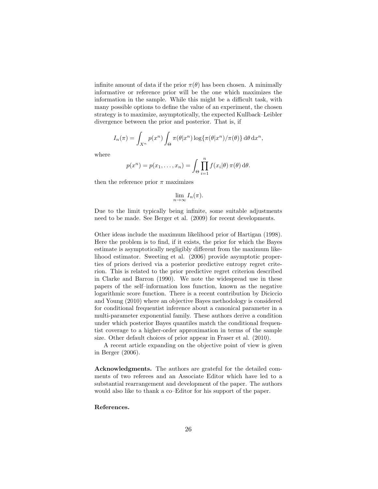infinite amount of data if the prior  $\pi(\theta)$  has been chosen. A minimally informative or reference prior will be the one which maximizes the information in the sample. While this might be a difficult task, with many possible options to define the value of an experiment, the chosen strategy is to maximize, asymptotically, the expected Kullback–Leibler divergence between the prior and posterior. That is, if

$$
I_n(\pi) = \int_{X^n} p(x^n) \int_{\Theta} \pi(\theta | x^n) \log{\{\pi(\theta | x^n) / \pi(\theta)\} d\theta} dx^n,
$$

where

$$
p(x^n) = p(x_1, \dots, x_n) = \int_{\Theta} \prod_{i=1}^n f(x_i | \theta) \, \pi(\theta) \, \mathrm{d}\theta.
$$

then the reference prior  $\pi$  maximizes

$$
\lim_{n\to\infty}I_n(\pi).
$$

Due to the limit typically being infinite, some suitable adjustments need to be made. See Berger et al. (2009) for recent developments.

Other ideas include the maximum likelihood prior of Hartigan (1998). Here the problem is to find, if it exists, the prior for which the Bayes estimate is asymptotically negligibly different from the maximum likelihood estimator. Sweeting et al. (2006) provide asymptotic properties of priors derived via a posterior predictive entropy regret criterion. This is related to the prior predictive regret criterion described in Clarke and Barron (1990). We note the widespread use in these papers of the self–information loss function, known as the negative logarithmic score function. There is a recent contribution by Diciccio and Young (2010) where an objective Bayes methodology is considered for conditional frequentist inference about a canonical parameter in a multi-parameter exponential family. These authors derive a condition under which posterior Bayes quantiles match the conditional frequentist coverage to a higher-order approximation in terms of the sample size. Other default choices of prior appear in Fraser et al. (2010).

A recent article expanding on the objective point of view is given in Berger (2006).

Acknowledgments. The authors are grateful for the detailed comments of two referees and an Associate Editor which have led to a substantial rearrangement and development of the paper. The authors would also like to thank a co–Editor for his support of the paper.

#### References.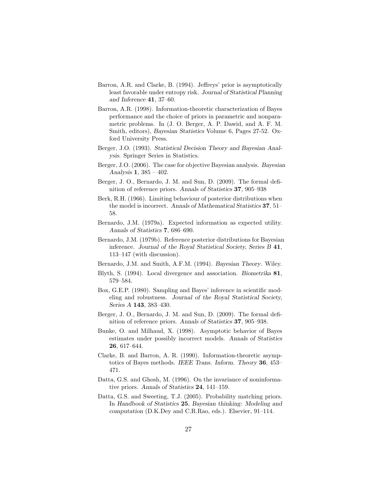- Barron, A.R. and Clarke, B. (1994). Jeffreys' prior is asymptotically least favorable under entropy risk. *Journal of Statistical Planning and Inference* 41, 37–60.
- Barron, A.R. (1998). Information-theoretic characterization of Bayes performance and the choice of priors in parametric and nonparametric problems. In (J. O. Berger, A. P. Dawid, and A. F. M. Smith, editors), *Bayesian Statistics* Volume 6, Pages 27-52. Oxford University Press.
- Berger, J.O. (1993). *Statistical Decision Theory and Bayesian Analysis*. Springer Series in Statistics.
- Berger, J.O. (2006). The case for objective Bayesian analysis. *Bayesian Analysis* 1, 385 – 402.
- Berger, J. O., Bernardo, J. M. and Sun, D. (2009). The formal definition of reference priors. *Annals of Statistics* 37, 905–938
- Berk, R.H. (1966). Limiting behaviour of posterior distributions when the model is incorrect. *Annals of Mathematical Statistics* 37, 51– 58.
- Bernardo, J.M. (1979a). Expected information as expected utility. *Annals of Statistics* 7, 686–690.
- Bernardo, J.M. (1979b). Reference posterior distributions for Bayesian inference. *Journal of the Royal Statistical Society, Series B* 41, 113–147 (with discussion).
- Bernardo, J.M. and Smith, A.F.M. (1994). *Bayesian Theory*. Wiley.
- Blyth, S. (1994). Local divergence and association. *Biometrika* 81, 579–584.
- Box, G.E.P. (1980). Sampling and Bayes' inference in scientific modeling and robustness. *Journal of the Royal Statistical Society, Series A* 143, 383–430.
- Berger, J. O., Bernardo, J. M. and Sun, D. (2009). The formal definition of reference priors. *Annals of Statistics* 37, 905–938.
- Bunke, O. and Milhaud, X. (1998). Asymptotic behavior of Bayes estimates under possibly incorrect models. *Annals of Statistics* 26, 617–644.
- Clarke, B. and Barron, A. R. (1990). Information-theoretic asymptotics of Bayes methods. *IEEE Trans. Inform. Theory* 36, 453– 471.
- Datta, G.S. and Ghosh, M. (1996). On the invariance of noninformative priors. *Annals of Statistics* 24, 141–159.
- Datta, G.S. and Sweeting, T.J. (2005). Probability matching priors. In *Handbook of Statistics* 25, *Bayesian thinking: Modeling and computation* (D.K.Dey and C.R.Rao, eds.). Elsevier, 91–114.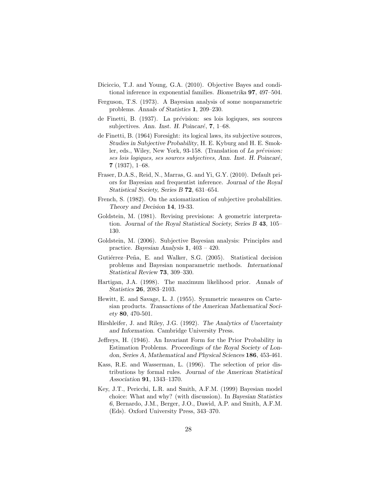- Diciccio, T.J. and Young, G.A. (2010). Objective Bayes and conditional inference in exponential families. *Biometrika* 97, 497–504.
- Ferguson, T.S. (1973). A Bayesian analysis of some nonparametric problems. *Annals of Statistics* 1, 209–230.
- de Finetti, B. (1937). La prévision: ses lois logiques, ses sources subjectives. Ann. Inst. H. Poincaré, 7, 1–68.
- de Finetti, B. (1964) Foresight: its logical laws, its subjective sources, *Studies in Subjective Probability*, H. E. Kyburg and H. E. Smokler, eds., Wiley, New York, 93-158. (Translation of La prévision: ses lois logiques, ses sources subjectives, *Ann. Inst. H. Poincar*e´,  $7(1937), 1–68.$
- Fraser, D.A.S., Reid, N., Marras, G. and Yi, G.Y. (2010). Default priors for Bayesian and frequentist inference. *Journal of the Royal Statistical Society, Series B* 72, 631–654.
- French, S. (1982). On the axiomatization of subjective probabilities. *Theory and Decision* 14, 19-33.
- Goldstein, M. (1981). Revising previsions: A geometric interpretation. *Journal of the Royal Statistical Society, Series B* 43, 105– 130.
- Goldstein, M. (2006). Subjective Bayesian analysis: Principles and practice. *Bayesian Analysis* 1, 403 – 420.
- Gutiérrez–Peña, E. and Walker, S.G. (2005). Statistical decision problems and Bayesian nonparametric methods. *International Statistical Review* 73, 309–330.
- Hartigan, J.A. (1998). The maximum likelihood prior. *Annals of Statistics* 26, 2083–2103.
- Hewitt, E. and Savage, L. J. (1955). Symmetric measures on Cartesian products. *Transactions of the American Mathematical Society* 80, 470-501.
- Hirshleifer, J. and Riley, J.G. (1992). *The Analytics of Uncertainty and Information*. Cambridge University Press.
- Jeffreys, H. (1946). An Invariant Form for the Prior Probability in Estimation Problems. *Proceedings of the Royal Society of London, Series A, Mathematical and Physical Sciences* 186, 453-461.
- Kass, R.E. and Wasserman, L. (1996). The selection of prior distributions by formal rules. *Journal of the American Statistical Association* 91, 1343–1370.
- Key, J.T., Pericchi, L.R. and Smith, A.F.M. (1999) Bayesian model choice: What and why? (with discussion). In *Bayesian Statistics 6*, Bernardo, J.M., Berger, J.O., Dawid, A.P. and Smith, A.F.M. (Eds). Oxford University Press, 343–370.